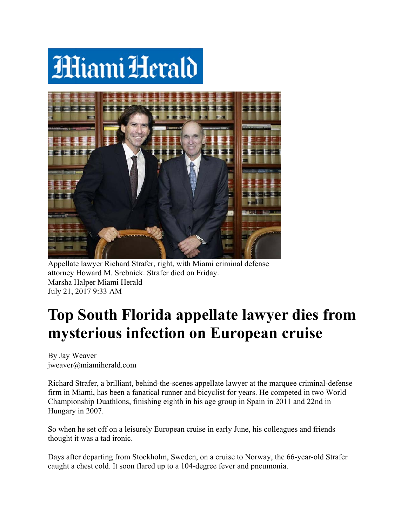## **MiamiHerald**



Appellate lawyer Richard Strafer, right, with Miami criminal defense attorney Howard M. Srebnick. Strafer died on Friday. Marsha H Halper Miam mi Herald July 21, 2017 9:33 AM

## **Top South Florida appellate lawyer dies from mysterious infection on European cruise**

By Jay W Weaver jweaver@miamiherald.com

Richard Strafer, a brilliant, behind-the-scenes appellate lawyer at the marquee criminal-defense firm in Miami, has been a fanatical runner and bicyclist for years. He competed in two World Championship Duathlons, finishing eighth in his age group in Spain in 2011 and 22nd in Hungary in 2007.

So when he set off on a leisurely European cruise in early June, his colleagues and friends thought it was a tad ironic.

Days after departing from Stockholm, Sweden, on a cruise to Norway, the 66-year-old Strafer caught a chest cold. It soon flared up to a 104-degree fever and pneumonia.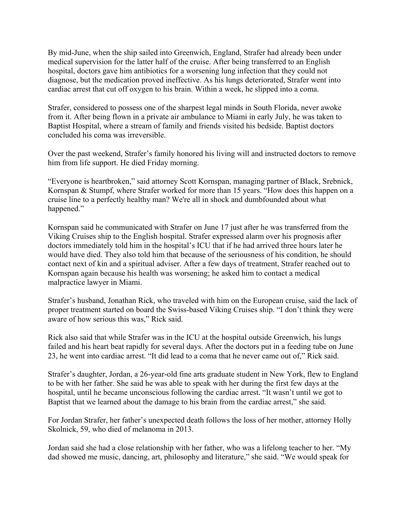By mid-June, when the ship sailed into Greenwich, England, Strafer had already been under medical supervision for the latter half of the cruise. After being transferred to an English hospital, doctors gave him antibiotics for a worsening lung infection that they could not diagnose, but the medication proved ineffective. As his lungs deteriorated, Strafer went into cardiac arrest that cut off oxygen to his brain. Within a week, he slipped into a coma.

Strafer, considered to possess one of the sharpest legal minds in South Florida, never awoke from it. After being flown in a private air ambulance to Miami in early July, he was taken to Baptist Hospital, where a stream of family and friends visited his bedside. Baptist doctors concluded his coma was irreversible.

Over the past weekend, Strafer's family honored his living will and instructed doctors to remove him from life support. He died Friday morning.

"Everyone is heartbroken," said attorney Scott Kornspan, managing partner of Black, Srebnick, Kornspan & Stumpf, where Strafer worked for more than 15 years. "How does this happen on a cruise line to a perfectly healthy man? We're all in shock and dumbfounded about what happened."

Kornspan said he communicated with Strafer on June 17 just after he was transferred from the Viking Cruises ship to the English hospital. Strafer expressed alarm over his prognosis after doctors immediately told him in the hospital's ICU that if he had arrived three hours later he would have died. They also told him that because of the seriousness of his condition, he should contact next of kin and a spiritual adviser. After a few days of treatment, Strafer reached out to Kornspan again because his health was worsening; he asked him to contact a medical malpractice lawyer in Miami.

Strafer's husband, Jonathan Rick, who traveled with him on the European cruise, said the lack of proper treatment started on board the Swiss-based Viking Cruises ship. "I don't think they were aware of how serious this was," Rick said.

Rick also said that while Strafer was in the ICU at the hospital outside Greenwich, his lungs failed and his heart beat rapidly for several days. After the doctors put in a feeding tube on June 23, he went into cardiac arrest. "It did lead to a coma that he never came out of," Rick said.

Strafer's daughter, Jordan, a 26-year-old fine arts graduate student in New York, flew to England to be with her father. She said he was able to speak with her during the first few days at the hospital, until he became unconscious following the cardiac arrest. "It wasn't until we got to Baptist that we learned about the damage to his brain from the cardiac arrest," she said.

For Jordan Strafer, her father's unexpected death follows the loss of her mother, attorney Holly Skolnick, 59, who died of melanoma in 2013.

Jordan said she had a close relationship with her father, who was a lifelong teacher to her. "My dad showed me music, dancing, art, philosophy and literature," she said. "We would speak for